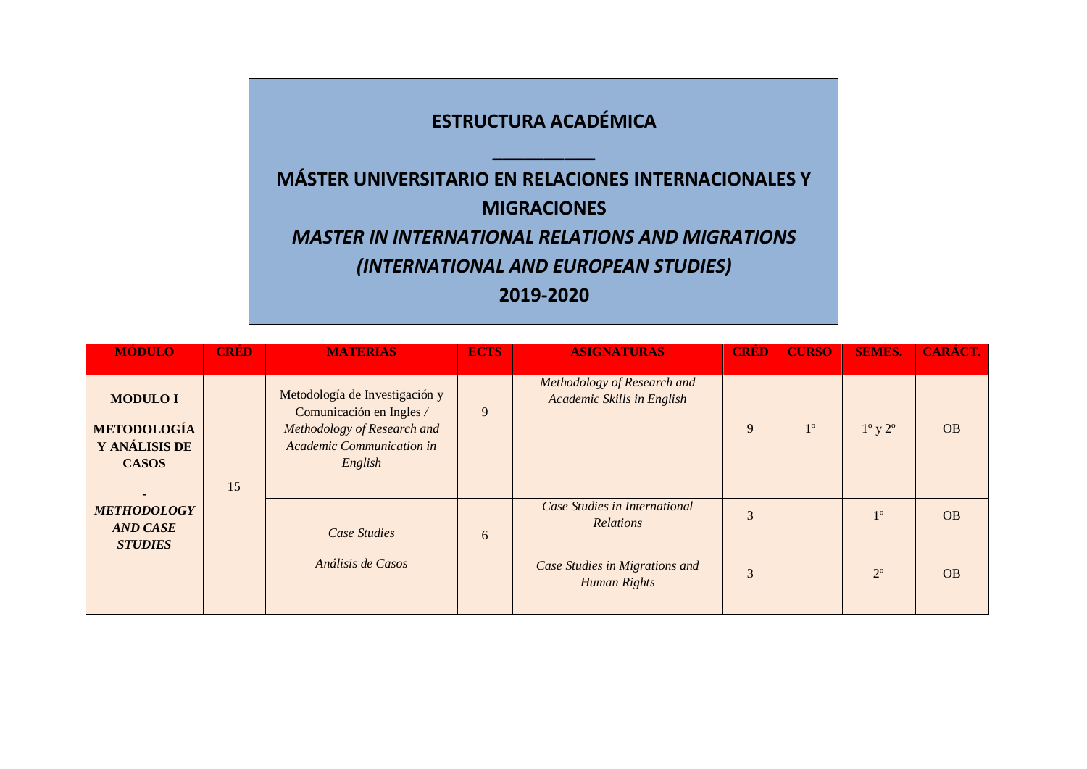## **ESTRUCTURA ACADÉMICA \_\_\_\_\_\_\_\_\_\_ MÁSTER UNIVERSITARIO EN RELACIONES INTERNACIONALES Y MIGRACIONES** *MASTER IN INTERNATIONAL RELATIONS AND MIGRATIONS (INTERNATIONAL AND EUROPEAN STUDIES)* **2019-2020**

| <b>MÓDULO</b>                                                          | <b>CRÉD</b>                       | <b>MATERIAS</b>                                                                                                                          | <b>ECTS</b>                                    | <b>ASIGNATURAS</b>                                        | <b>CRED</b> | <b>CURSO</b> | <b>SEMES.</b>             | CARÁCT.   |
|------------------------------------------------------------------------|-----------------------------------|------------------------------------------------------------------------------------------------------------------------------------------|------------------------------------------------|-----------------------------------------------------------|-------------|--------------|---------------------------|-----------|
| <b>MODULO I</b><br><b>METODOLOGÍA</b><br>Y ANÁLISIS DE<br><b>CASOS</b> | 15                                | Metodología de Investigación y<br>Comunicación en Ingles /<br>Methodology of Research and<br><b>Academic Communication in</b><br>English | 9                                              | Methodology of Research and<br>Academic Skills in English | 9           | $1^{\circ}$  | $1^{\circ}$ y $2^{\circ}$ | <b>OB</b> |
| <b>METHODOLOGY</b><br><b>AND CASE</b><br><b>STUDIES</b>                | Case Studies<br>Análisis de Casos |                                                                                                                                          | 6                                              | Case Studies in International<br><b>Relations</b>         | 3           |              | $1^{\circ}$               | <b>OB</b> |
|                                                                        |                                   |                                                                                                                                          | Case Studies in Migrations and<br>Human Rights | 3                                                         |             | $2^{\circ}$  | <b>OB</b>                 |           |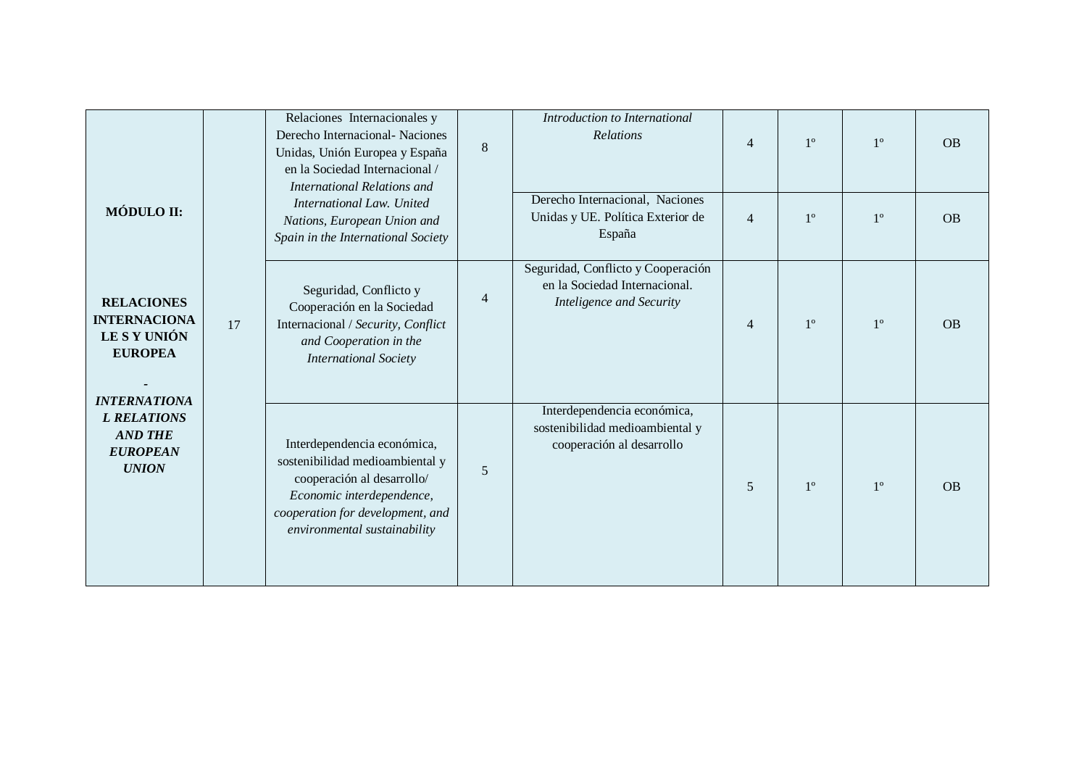| MÓDULO II:                                                                                        |    | Relaciones Internacionales y<br>Derecho Internacional - Naciones<br>Unidas, Unión Europea y España<br>en la Sociedad Internacional /<br><b>International Relations and</b><br>International Law. United<br>Nations, European Union and<br>Spain in the International Society | $\,8\,$ | Introduction to International<br>Relations<br>Derecho Internacional, Naciones<br>Unidas y UE. Política Exterior de<br>España | $\overline{4}$<br>$\overline{4}$ | $1^{\circ}$<br>$1^{\circ}$ | $1^{\circ}$<br>$1^{\circ}$ | <b>OB</b><br><b>OB</b> |
|---------------------------------------------------------------------------------------------------|----|------------------------------------------------------------------------------------------------------------------------------------------------------------------------------------------------------------------------------------------------------------------------------|---------|------------------------------------------------------------------------------------------------------------------------------|----------------------------------|----------------------------|----------------------------|------------------------|
| <b>RELACIONES</b><br><b>INTERNACIONA</b><br>LE S Y UNIÓN<br><b>EUROPEA</b><br><b>INTERNATIONA</b> | 17 | Seguridad, Conflicto y<br>Cooperación en la Sociedad<br>Internacional / Security, Conflict<br>and Cooperation in the<br><b>International Society</b>                                                                                                                         | 4       | Seguridad, Conflicto y Cooperación<br>en la Sociedad Internacional.<br>Inteligence and Security                              | 4                                | $1^{\circ}$                | $1^{\circ}$                | <b>OB</b>              |
| <b>L RELATIONS</b><br><b>AND THE</b><br><b>EUROPEAN</b><br><b>UNION</b>                           |    | Interdependencia económica,<br>sostenibilidad medioambiental y<br>cooperación al desarrollo/<br>Economic interdependence,<br>cooperation for development, and<br>environmental sustainability                                                                                | 5       | Interdependencia económica,<br>sostenibilidad medioambiental y<br>cooperación al desarrollo                                  | 5                                | $1^{\circ}$                | $1^{\circ}$                | OB                     |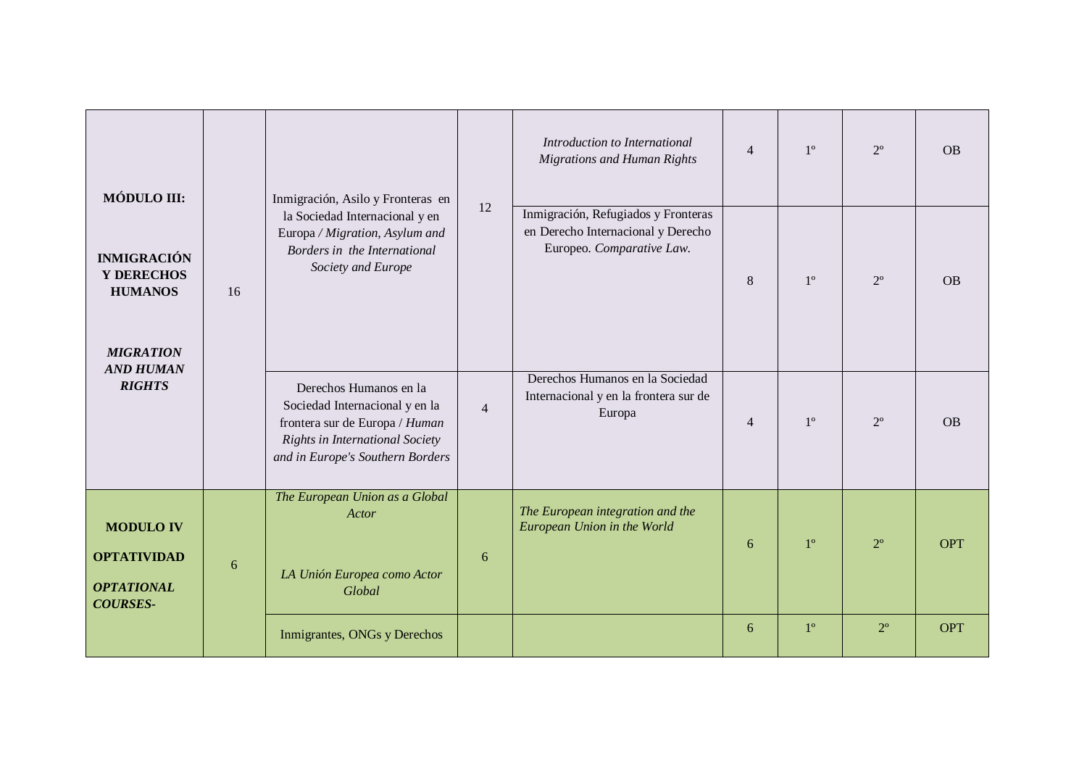| MÓDULO III:                                                                    |    | Inmigración, Asilo y Fronteras en                                                                                                                                 |                | Introduction to International<br><b>Migrations and Human Rights</b>                                    | $\overline{4}$ | $1^{\circ}$ | $2^{\circ}$ | <b>OB</b>  |
|--------------------------------------------------------------------------------|----|-------------------------------------------------------------------------------------------------------------------------------------------------------------------|----------------|--------------------------------------------------------------------------------------------------------|----------------|-------------|-------------|------------|
| <b>INMIGRACIÓN</b><br>Y DERECHOS<br><b>HUMANOS</b><br><b>MIGRATION</b>         | 16 | la Sociedad Internacional y en<br>Europa / Migration, Asylum and<br>Borders in the International<br>Society and Europe                                            | 12             | Inmigración, Refugiados y Fronteras<br>en Derecho Internacional y Derecho<br>Europeo. Comparative Law. | 8              | $1^{\circ}$ | $2^{\circ}$ | <b>OB</b>  |
| <b>AND HUMAN</b><br><b>RIGHTS</b>                                              |    | Derechos Humanos en la<br>Sociedad Internacional y en la<br>frontera sur de Europa / Human<br>Rights in International Society<br>and in Europe's Southern Borders | $\overline{4}$ | Derechos Humanos en la Sociedad<br>Internacional y en la frontera sur de<br>Europa                     | $\overline{4}$ | $1^{\circ}$ | $2^{\circ}$ | <b>OB</b>  |
| <b>MODULO IV</b><br><b>OPTATIVIDAD</b><br><b>OPTATIONAL</b><br><b>COURSES-</b> | 6  | The European Union as a Global<br>Actor<br>LA Unión Europea como Actor<br>Global                                                                                  | 6              | The European integration and the<br>European Union in the World                                        | 6              | $1^{\circ}$ | $2^{\circ}$ | <b>OPT</b> |
|                                                                                |    | Inmigrantes, ONGs y Derechos                                                                                                                                      |                |                                                                                                        | 6              | $1^{\circ}$ | $2^{\circ}$ | <b>OPT</b> |